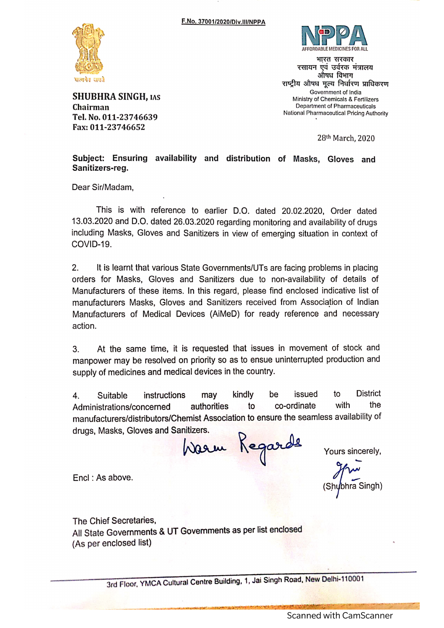

**SHUBHRA SINGH, IAS** Chairman Tel. No. 011-23746639 Fax: 011-23746652



भारत सरकार रसायन एवं उर्वरक मंत्रालय औषध विभाग राष्ट्रीय औषध मूल्य निर्धारण प्राधिकरण Government of India Ministry of Chemicals & Fertilizers Department of Pharmaceuticals National Pharmaceutical Pricing Authority

28th March, 2020

Subject: Ensuring availability and distribution of Masks, Gloves and Sanitizers-reg.

Dear Sir/Madam.

This is with reference to earlier D.O. dated 20.02.2020. Order dated 13.03.2020 and D.O. dated 26.03.2020 regarding monitoring and availability of drugs including Masks, Gloves and Sanitizers in view of emerging situation in context of COVID-19.

 $2<sub>1</sub>$ It is learnt that various State Governments/UTs are facing problems in placing orders for Masks, Gloves and Sanitizers due to non-availability of details of Manufacturers of these items. In this regard, please find enclosed indicative list of manufacturers Masks, Gloves and Sanitizers received from Association of Indian Manufacturers of Medical Devices (AiMeD) for ready reference and necessary action.

At the same time, it is requested that issues in movement of stock and 3. manpower may be resolved on priority so as to ensue uninterrupted production and supply of medicines and medical devices in the country.

**District** kindly be issued to  $\overline{4}$ . Suitable instructions may with the authorities co-ordinate Administrations/concerned to manufacturers/distributors/Chemist Association to ensure the seamless availability of drugs, Masks, Gloves and Sanitizers.

Warm Kegarde

Yours sincerely,

bhra Singh)

Encl: As above.

The Chief Secretaries. All State Governments & UT Governments as per list enclosed (As per enclosed list)

3rd Floor, YMCA Cultural Centre Building, 1, Jai Singh Road, New Delhi-110001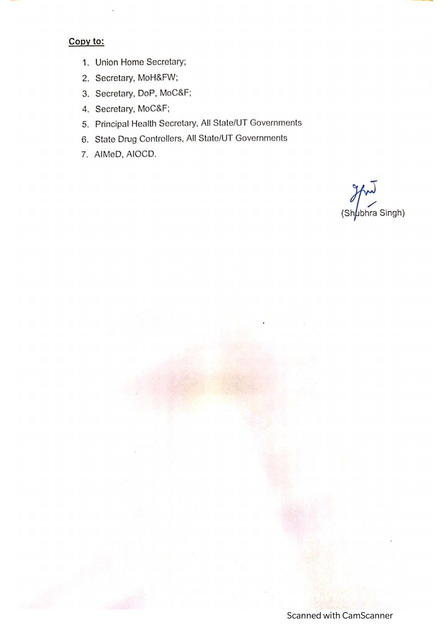## Copy to:

- 1. Union Home Secretary;
- 2. Secretary, MoH&FW;
- 3. Secretary, DoP, MoC&F;
- 4. Secretary, MoC&F;
- 5. Principal Health Secretary, All State/UT Governments
- 6. State Drug Controllers, All State/UT Governments
- 7. AIMeD, AIOCD.

(Shubhra Singh)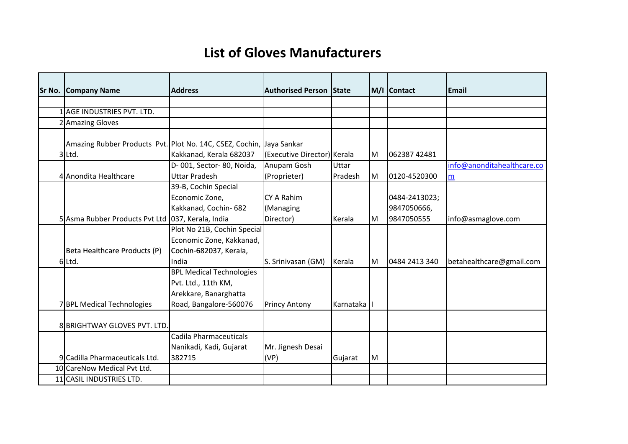## **List of Gloves Manufacturers**

| <b>Sr No. Company Name</b>                                                     | <b>Address</b>                                                                                            | <b>Authorised Person State</b>       |           |   | M/I Contact                                | Email                      |
|--------------------------------------------------------------------------------|-----------------------------------------------------------------------------------------------------------|--------------------------------------|-----------|---|--------------------------------------------|----------------------------|
|                                                                                |                                                                                                           |                                      |           |   |                                            |                            |
| 1 AGE INDUSTRIES PVT. LTD.                                                     |                                                                                                           |                                      |           |   |                                            |                            |
| 2 Amazing Gloves                                                               |                                                                                                           |                                      |           |   |                                            |                            |
| Amazing Rubber Products Pvt. Plot No. 14C, CSEZ, Cochin, Jaya Sankar<br>3 Ltd. | Kakkanad, Kerala 682037                                                                                   | (Executive Director) Kerala          |           | M | 062387 42481                               |                            |
|                                                                                | D-001, Sector-80, Noida,                                                                                  | Anupam Gosh                          | Uttar     |   |                                            | info@anonditahealthcare.co |
| 4 Anondita Healthcare                                                          | <b>Uttar Pradesh</b>                                                                                      | (Proprieter)                         | Pradesh   | M | 0120-4520300                               | m                          |
| 5 Asma Rubber Products Pvt Ltd 037, Kerala, India                              | 39-B, Cochin Special<br>Economic Zone,<br>Kakkanad, Cochin- 682                                           | CY A Rahim<br>(Managing<br>Director) | Kerala    | M | 0484-2413023;<br>9847050666,<br>9847050555 | info@asmaglove.com         |
| Beta Healthcare Products (P)<br>6 Ltd.                                         | Plot No 21B, Cochin Special<br>Economic Zone, Kakkanad,<br>Cochin-682037, Kerala,<br>India                | S. Srinivasan (GM)                   | Kerala    | M | 0484 2413 340                              | betahealthcare@gmail.com   |
| 7BPL Medical Technologies                                                      | <b>BPL Medical Technologies</b><br>Pvt. Ltd., 11th KM,<br>Arekkare, Banarghatta<br>Road, Bangalore-560076 | <b>Princy Antony</b>                 | Karnataka |   |                                            |                            |
| 8 BRIGHTWAY GLOVES PVT. LTD.                                                   |                                                                                                           |                                      |           |   |                                            |                            |
| 9 Cadilla Pharmaceuticals Ltd.                                                 | Cadila Pharmaceuticals<br>Nanikadi, Kadi, Gujarat<br>382715                                               | Mr. Jignesh Desai<br>(VP)            | Gujarat   | M |                                            |                            |
| 10 CareNow Medical Pvt Ltd.                                                    |                                                                                                           |                                      |           |   |                                            |                            |
| 11 CASIL INDUSTRIES LTD.                                                       |                                                                                                           |                                      |           |   |                                            |                            |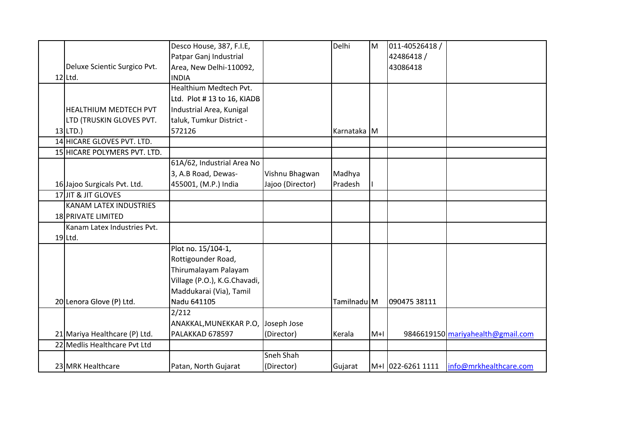|                               | Desco House, 387, F.I.E,           |                  | Delhi       | M     | 011-40526418 /    |                                   |
|-------------------------------|------------------------------------|------------------|-------------|-------|-------------------|-----------------------------------|
|                               | Patpar Ganj Industrial             |                  |             |       | 42486418 /        |                                   |
| Deluxe Scientic Surgico Pvt.  | Area, New Delhi-110092,            |                  |             |       | 43086418          |                                   |
| $12$ Ltd.                     | <b>INDIA</b>                       |                  |             |       |                   |                                   |
|                               | Healthium Medtech Pvt.             |                  |             |       |                   |                                   |
|                               | Ltd. Plot #13 to 16, KIADB         |                  |             |       |                   |                                   |
| HEALTHIUM MEDTECH PVT         | Industrial Area, Kunigal           |                  |             |       |                   |                                   |
| LTD (TRUSKIN GLOVES PVT.      | taluk, Tumkur District -           |                  |             |       |                   |                                   |
| $13$ LTD.)                    | 572126                             |                  | Karnataka M |       |                   |                                   |
| 14 HICARE GLOVES PVT. LTD.    |                                    |                  |             |       |                   |                                   |
| 15 HICARE POLYMERS PVT. LTD.  |                                    |                  |             |       |                   |                                   |
|                               | 61A/62, Industrial Area No         |                  |             |       |                   |                                   |
|                               | 3, A.B Road, Dewas-                | Vishnu Bhagwan   | Madhya      |       |                   |                                   |
| 16 Jajoo Surgicals Pvt. Ltd.  | 455001, (M.P.) India               | Jajoo (Director) | Pradesh     |       |                   |                                   |
| 17JJIT & JIT GLOVES           |                                    |                  |             |       |                   |                                   |
| KANAM LATEX INDUSTRIES        |                                    |                  |             |       |                   |                                   |
| 18 PRIVATE LIMITED            |                                    |                  |             |       |                   |                                   |
| Kanam Latex Industries Pvt.   |                                    |                  |             |       |                   |                                   |
| $19$ Ltd.                     |                                    |                  |             |       |                   |                                   |
|                               | Plot no. 15/104-1,                 |                  |             |       |                   |                                   |
|                               | Rottigounder Road,                 |                  |             |       |                   |                                   |
|                               | Thirumalayam Palayam               |                  |             |       |                   |                                   |
|                               | Village (P.O.), K.G.Chavadi,       |                  |             |       |                   |                                   |
|                               | Maddukarai (Via), Tamil            |                  |             |       |                   |                                   |
| 20 Lenora Glove (P) Ltd.      | Nadu 641105                        |                  | Tamilnadu M |       | 090475 38111      |                                   |
|                               | 2/212                              |                  |             |       |                   |                                   |
|                               | ANAKKAL, MUNEKKAR P.O. Joseph Jose |                  |             |       |                   |                                   |
| 21 Mariya Healthcare (P) Ltd. | PALAKKAD 678597                    | (Director)       | Kerala      | $M+1$ |                   | 9846619150 mariyahealth@gmail.com |
| 22 Medlis Healthcare Pvt Ltd  |                                    |                  |             |       |                   |                                   |
|                               |                                    | Sneh Shah        |             |       |                   |                                   |
| 23 MRK Healthcare             | Patan, North Gujarat               | (Director)       | Gujarat     |       | M+I 022-6261 1111 | info@mrkhealthcare.com            |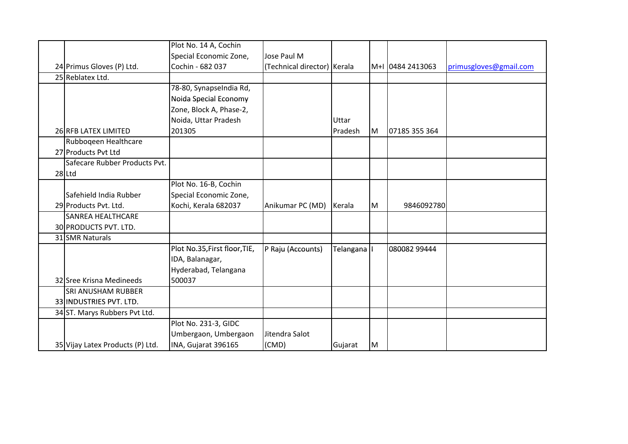|                                  | Plot No. 14 A, Cochin         |                             |           |    |                  |                        |
|----------------------------------|-------------------------------|-----------------------------|-----------|----|------------------|------------------------|
|                                  | Special Economic Zone,        | Jose Paul M                 |           |    |                  |                        |
| 24 Primus Gloves (P) Ltd.        | Cochin - 682 037              | (Technical director) Kerala |           |    | M+I 0484 2413063 | primusgloves@gmail.com |
| 25 Reblatex Ltd.                 |                               |                             |           |    |                  |                        |
|                                  | 78-80, SynapseIndia Rd,       |                             |           |    |                  |                        |
|                                  | Noida Special Economy         |                             |           |    |                  |                        |
|                                  | Zone, Block A, Phase-2,       |                             |           |    |                  |                        |
|                                  | Noida, Uttar Pradesh          |                             | Uttar     |    |                  |                        |
| 26 RFB LATEX LIMITED             | 201305                        |                             | Pradesh   | ΙM | 07185 355 364    |                        |
| Rubboqeen Healthcare             |                               |                             |           |    |                  |                        |
| 27 Products Pvt Ltd              |                               |                             |           |    |                  |                        |
| Safecare Rubber Products Pvt.    |                               |                             |           |    |                  |                        |
| $28$ Ltd                         |                               |                             |           |    |                  |                        |
|                                  | Plot No. 16-B, Cochin         |                             |           |    |                  |                        |
| Safehield India Rubber           | Special Economic Zone,        |                             |           |    |                  |                        |
| 29 Products Pvt. Ltd.            | Kochi, Kerala 682037          | Anikumar PC (MD)            | Kerala    | M  | 9846092780       |                        |
| <b>SANREA HEALTHCARE</b>         |                               |                             |           |    |                  |                        |
| 30 PRODUCTS PVT. LTD.            |                               |                             |           |    |                  |                        |
| 31 SMR Naturals                  |                               |                             |           |    |                  |                        |
|                                  | Plot No.35, First floor, TIE, | P Raju (Accounts)           | Telangana |    | 080082 99444     |                        |
|                                  | IDA, Balanagar,               |                             |           |    |                  |                        |
|                                  | Hyderabad, Telangana          |                             |           |    |                  |                        |
| 32 Sree Krisna Medineeds         | 500037                        |                             |           |    |                  |                        |
| <b>SRI ANUSHAM RUBBER</b>        |                               |                             |           |    |                  |                        |
| 33 INDUSTRIES PVT. LTD.          |                               |                             |           |    |                  |                        |
| 34 ST. Marys Rubbers Pvt Ltd.    |                               |                             |           |    |                  |                        |
|                                  | Plot No. 231-3, GIDC          |                             |           |    |                  |                        |
|                                  | Umbergaon, Umbergaon          | Jitendra Salot              |           |    |                  |                        |
| 35 Vijay Latex Products (P) Ltd. | INA, Gujarat 396165           | (CMD)                       | Gujarat   | M  |                  |                        |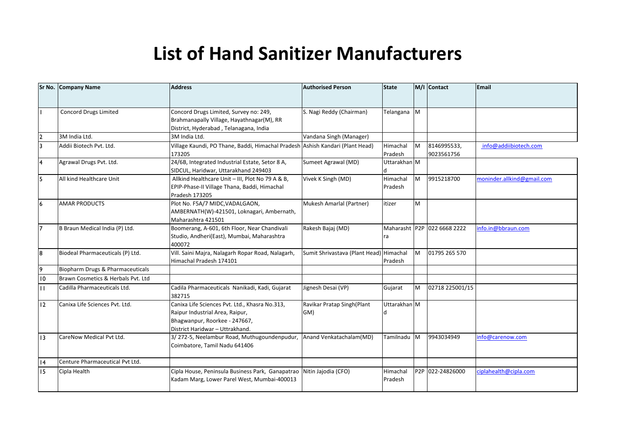## **List of Hand Sanitizer Manufacturers**

|                 | Sr No. Company Name                | <b>Address</b>                                                                                                                                        | <b>Authorised Person</b>                | <b>State</b>        |           | M/I Contact                 | Email                      |
|-----------------|------------------------------------|-------------------------------------------------------------------------------------------------------------------------------------------------------|-----------------------------------------|---------------------|-----------|-----------------------------|----------------------------|
|                 |                                    |                                                                                                                                                       |                                         |                     |           |                             |                            |
|                 | <b>Concord Drugs Limited</b>       | Concord Drugs Limited, Survey no: 249,<br>Brahmanapally Village, Hayathnagar(M), RR<br>District, Hyderabad, Telanagana, India                         | S. Nagi Reddy (Chairman)                | Telangana M         |           |                             |                            |
|                 | 3M India Ltd.                      | 3M India Ltd.                                                                                                                                         | Vandana Singh (Manager)                 |                     |           |                             |                            |
|                 | Addii Biotech Pvt. Ltd.            | Village Kaundi, PO Thane, Baddi, Himachal Pradesh Ashish Kandari (Plant Head)<br>173205                                                               |                                         | Himachal<br>Pradesh | <b>M</b>  | 8146995533,<br>9023561756   | info@addiibiotech.com      |
|                 | Agrawal Drugs Pvt. Ltd.            | 24/6B, Integrated Industrial Estate, Setor 8 A,<br>SIDCUL, Haridwar, Uttarakhand 249403                                                               | Sumeet Agrawal (MD)                     | Uttarakhan M        |           |                             |                            |
|                 | All kind Healthcare Unit           | Allkind Healthcare Unit - III, Plot No 79 A & B,<br>EPIP-Phase-II Village Thana, Baddi, Himachal<br>Pradesh 173205                                    | Vivek K Singh (MD)                      | Himachal<br>Pradesh | M         | 9915218700                  | moninder.allkind@gmail.com |
|                 | <b>AMAR PRODUCTS</b>               | Plot No. F5A/7 MIDC, VADALGAON,<br>AMBERNATH(W)-421501, Loknagari, Ambernath,<br>Maharashtra 421501                                                   | Mukesh Amarlal (Partner)                | itizer              | M         |                             |                            |
|                 | B Braun Medical India (P) Ltd.     | Boomerang, A-601, 6th Floor, Near Chandivali<br>Studio, Andheri(East), Mumbai, Maharashtra<br>400072                                                  | Rakesh Bajaj (MD)                       | ra                  |           | Maharasht P2P 022 6668 2222 | info.in@bbraun.com         |
|                 | Biodeal Pharmaceuticals (P) Ltd.   | Vill. Saini Majra, Nalagarh Ropar Road, Nalagarh,<br>Himachal Pradesh 174101                                                                          | Sumit Shrivastava (Plant Head) Himachal | Pradesh             | <b>IM</b> | 01795 265 570               |                            |
|                 | Biopharm Drugs & Pharmaceuticals   |                                                                                                                                                       |                                         |                     |           |                             |                            |
| $\overline{10}$ | Brawn Cosmetics & Herbals Pyt. Ltd |                                                                                                                                                       |                                         |                     |           |                             |                            |
| П               | Cadilla Pharmaceuticals Ltd.       | Cadila Pharmaceuticals Nanikadi, Kadi, Gujarat<br>382715                                                                                              | Jignesh Desai (VP)                      | Gujarat             | <b>M</b>  | 02718 225001/15             |                            |
| 12              | Canixa Life Sciences Pvt. Ltd.     | Canixa Life Sciences Pvt. Ltd., Khasra No.313,<br>Raipur Industrial Area, Raipur,<br>Bhagwanpur, Roorkee - 247667,<br>District Haridwar - Uttrakhand. | Ravikar Pratap Singh(Plant<br>GM)       | Uttarakhan M        |           |                             |                            |
| 13              | CareNow Medical Pvt Ltd.           | 3/272-5, Neelambur Road, Muthugoundenpudur,<br>Coimbatore, Tamil Nadu 641406                                                                          | Anand Venkatachalam(MD)                 | Tamilnadu M         |           | 9943034949                  | info@carenow.com           |
| 14              | Centure Pharmaceutical Pvt Ltd.    |                                                                                                                                                       |                                         |                     |           |                             |                            |
| 15              | Cipla Health                       | Cipla House, Peninsula Business Park, Ganapatrao Nitin Jajodia (CFO)<br>Kadam Marg, Lower Parel West, Mumbai-400013                                   |                                         | Himachal<br>Pradesh |           | P2P 022-24826000            | ciplahealth@cipla.com      |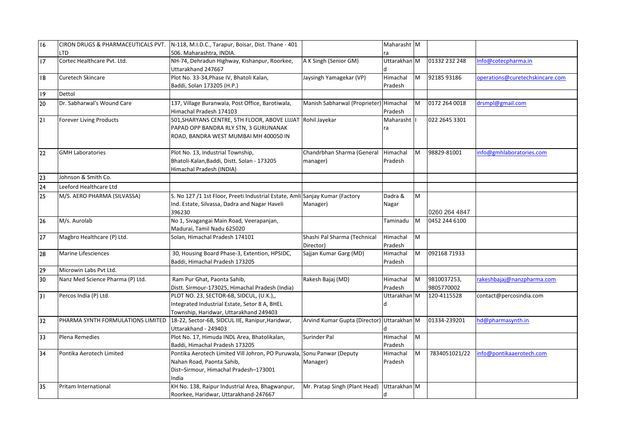| 16              | CIRON DRUGS & PHARMACEUTICALS PVT. | N-118, M.I.D.C., Tarapur, Boisar, Dist. Thane - 401                                                                                                   |                                            | Maharasht M         |   |                           |                                 |
|-----------------|------------------------------------|-------------------------------------------------------------------------------------------------------------------------------------------------------|--------------------------------------------|---------------------|---|---------------------------|---------------------------------|
|                 | LTD                                | 506. Maharashtra, INDIA.                                                                                                                              |                                            |                     |   |                           |                                 |
| 17              | Cortec Healthcare Pvt. Ltd.        | NH-74, Dehradun Highway, Kishanpur, Roorkee,<br>Uttarakhand 247667                                                                                    | A K Singh (Senior GM)                      | Uttarakhan M        |   | 01332 232 248             | Info@cotecpharma.in             |
| 18              | Curetech Skincare                  | Plot No. 33-34, Phase IV, Bhatoli Kalan,<br>Baddi, Solan 173205 (H.P.)                                                                                | Jaysingh Yamagekar (VP)                    | Himachal<br>Pradesh | M | 92185 93186               | operations@curetechskincare.com |
| 19              | Dettol                             |                                                                                                                                                       |                                            |                     |   |                           |                                 |
| $\overline{20}$ | Dr. Sabharwal's Wound Care         | 137, Village Buranwala, Post Office, Barotiwala,<br>Himachal Pradesh 174103                                                                           | Manish Sabharwal (Proprieter) Himachal     | Pradesh             | M | 0172 264 0018             | drsmpl@gmail.com                |
| 21              | Forever Living Products            | 501, SHARYANS CENTRE, 5TH FLOOR, ABOVE LIJJAT Rohil Jayekar<br>PAPAD OPP BANDRA RLY STN, 3 GURUNANAK<br>ROAD, BANDRA WEST MUMBAI MH 400050 IN         |                                            | Maharasht<br>ra     |   | 022 2645 3301             |                                 |
| 22              | <b>GMH Laboratories</b>            | Plot No. 13, Industrial Township,<br>Bhatoli-Kalan, Baddi, Distt. Solan - 173205<br>Himachal Pradesh (INDIA)                                          | Chandrbhan Sharma (General<br>manager)     | Himachal<br>Pradesh | M | 98829-81001               | info@gmhlaboratories.com        |
| 23              | Johnson & Smith Co.                |                                                                                                                                                       |                                            |                     |   |                           |                                 |
| 24              | Leeford Healthcare Ltd             |                                                                                                                                                       |                                            |                     |   |                           |                                 |
| 25              | M/S. AERO PHARMA (SILVASSA)        | S. No 127 /1 1st Floor, Preeti Industrial Estate, Amli Sanjay Kumar (Factory<br>Ind. Estate, Silvassa, Dadra and Nagar Haveli<br>396230               | Manager)                                   | Dadra &<br>Nagar    | M | 0260 264 4847             |                                 |
| 26              | M/s. Aurolab                       | No 1, Sivagangai Main Road, Veerapanjan,<br>Madurai, Tamil Nadu 625020                                                                                |                                            | Taminadu            | M | 0452 244 6100             |                                 |
| 27              | Magbro Healthcare (P) Ltd.         | Solan, Himachal Pradesh 174101                                                                                                                        | Shashi Pal Sharma (Technical<br>Director)  | Himachal<br>Pradesh | M |                           |                                 |
| 28              | <b>Marine Lifesciences</b>         | 30, Housing Board Phase-3, Extention, HPSIDC,<br>Baddi, Himachal Pradesh 173205                                                                       | Sajjan Kumar Garg (MD)                     | Himachal<br>Pradesh | M | 092168 71933              |                                 |
| 29              | Microwin Labs Pvt Ltd.             |                                                                                                                                                       |                                            |                     |   |                           |                                 |
| $\overline{30}$ | Nanz Med Science Pharma (P) Ltd.   | Ram Pur Ghat, Paonta Sahib,<br>Distt. Sirmour-173025, Himachal Pradesh (India)                                                                        | Rakesh Bajaj (MD)                          | Himachal<br>Pradesh | M | 9810037253,<br>9805770002 | rakeshbajaj@nanzpharma.com      |
| 31              | Percos India (P) Ltd.              | PLOT NO. 23, SECTOR-6B, SIDCUL, (U.K.),,<br>Integrated Industrial Estate, Setor 8 A, BHEL<br>Township, Haridwar, Uttarakhand 249403                   |                                            | Uttarakhan M        |   | 120-4115528               | contact@percosindia.com         |
| 32              | PHARMA SYNTH FORMULATIONS LIMITED  | 18-22, Sector-6B, SIDCUL IIE, Ranipur, Haridwar,<br>Uttarakhand - 249403                                                                              | Arvind Kumar Gupta (Director) Uttarakhan M |                     |   | 01334-239201              | hd@pharmasynth.in               |
| 33              | Plena Remedies                     | Plot No. 17, Himuda INDL Area, Bhatolikalan,<br>Baddi, Himachal Pradesh 173205                                                                        | Surinder Pal                               | Himachal<br>Pradesh | M |                           |                                 |
| 34              | Pontika Aerotech Limited           | Pontika Aerotech Limited Vill Johron, PO Puruwala, Sonu Panwar (Deputy<br>Nahan Road, Paonta Sahib,<br>Dist-Sirmour, Himachal Pradesh-173001<br>India | Manager)                                   | Himachal<br>Pradesh | M | 7834051021/22             | info@pontikaaerotech.com        |
| 35              | Pritam International               | KH No. 138, Raipur Industrial Area, Bhagwanpur,<br>Roorkee, Haridwar, Uttarakhand-247667                                                              | Mr. Pratap Singh (Plant Head)              | Uttarakhan M<br>d   |   |                           |                                 |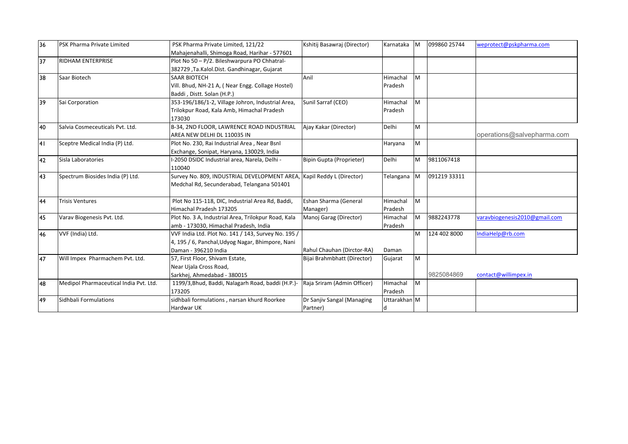| 36 | <b>PSK Pharma Private Limited</b>      | PSK Pharma Private Limited, 121/22                  | Kshitij Basawraj (Director) | Karnataka M  |           | 099860 25744 | weprotect@pskpharma.com       |
|----|----------------------------------------|-----------------------------------------------------|-----------------------------|--------------|-----------|--------------|-------------------------------|
|    |                                        | Mahajenahalli, Shimoga Road, Harihar - 577601       |                             |              |           |              |                               |
| 37 | <b>RIDHAM ENTERPRISE</b>               | Plot No 50 - P/2. Bileshwarpura PO Chhatral-        |                             |              |           |              |                               |
|    |                                        | 382729, Ta.Kalol.Dist. Gandhinagar, Gujarat         |                             |              |           |              |                               |
| 38 | Saar Biotech                           | <b>SAAR BIOTECH</b>                                 | Anil                        | Himachal     | M         |              |                               |
|    |                                        | Vill. Bhud, NH-21 A, (Near Engg. Collage Hostel)    |                             | Pradesh      |           |              |                               |
|    |                                        | Baddi, Distt. Solan (H.P.)                          |                             |              |           |              |                               |
| 39 | Sai Corporation                        | 353-196/186/1-2, Village Johron, Industrial Area,   | Sunil Sarraf (CEO)          | Himachal     | <b>IM</b> |              |                               |
|    |                                        | Trilokpur Road, Kala Amb, Himachal Pradesh          |                             | Pradesh      |           |              |                               |
|    |                                        | 173030                                              |                             |              |           |              |                               |
| 40 | Salvia Cosmeceuticals Pvt. Ltd.        | B-34, 2ND FLOOR, LAWRENCE ROAD INDUSTRIAL           | Ajay Kakar (Director)       | Delhi        | <b>IM</b> |              |                               |
|    |                                        | AREA NEW DELHI DL 110035 IN                         |                             |              |           |              | operations@salvepharma.com    |
| 41 | Sceptre Medical India (P) Ltd.         | Plot No. 230, Rai Industrial Area, Near Bsnl        |                             | Haryana      | M         |              |                               |
|    |                                        | Exchange, Sonipat, Haryana, 130029, India           |                             |              |           |              |                               |
| 42 | Sisla Laboratories                     | -2050 DSIDC Industrial area, Narela, Delhi -        | Bipin Gupta (Proprieter)    | Delhi        | M         | 9811067418   |                               |
|    |                                        | 110040                                              |                             |              |           |              |                               |
| 43 | Spectrum Biosides India (P) Ltd.       | Survey No. 809, INDUSTRIAL DEVELOPMENT AREA,        | Kapil Reddy L (Director)    | Telangana M  |           | 091219 33311 |                               |
|    |                                        | Medchal Rd, Secunderabad, Telangana 501401          |                             |              |           |              |                               |
|    |                                        |                                                     |                             |              |           |              |                               |
| 44 | <b>Trisis Ventures</b>                 | Plot No 115-118, DIC, Industrial Area Rd, Baddi,    | Eshan Sharma (General       | Himachal     | M         |              |                               |
|    |                                        | Himachal Pradesh 173205                             | Manager)                    | Pradesh      |           |              |                               |
| 45 | Varav Biogenesis Pvt. Ltd.             | Plot No. 3 A, Industrial Area, Trilokpur Road, Kala | Manoj Garag (Director)      | Himachal     | <b>IM</b> | 9882243778   | varavbiogenesis2010@gmail.com |
|    |                                        | amb - 173030, Himachal Pradesh, India               |                             | Pradesh      |           |              |                               |
| 46 | VVF (India) Ltd.                       | VVF India Ltd. Plot No. 141 / 143, Survey No. 195 / |                             |              | M         | 124 402 8000 | IndiaHelp@rb.com              |
|    |                                        | 4, 195 / 6, Panchal, Udyog Nagar, Bhimpore, Nani    |                             |              |           |              |                               |
|    |                                        | Daman - 396210 India                                | Rahul Chauhan (Dirctor-RA)  | Daman        |           |              |                               |
| 47 | Will Impex Pharmachem Pvt. Ltd.        | 57, First Floor, Shivam Estate,                     | Bijai Brahmbhatt (Director) | Gujarat      | <b>M</b>  |              |                               |
|    |                                        | Near Ujala Cross Road,                              |                             |              |           |              |                               |
|    |                                        | Sarkhej, Ahmedabad - 380015                         |                             |              |           | 9825084869   | contact@willimpex.in          |
| 48 | Medipol Pharmaceutical India Pvt. Ltd. | 1199/3, Bhud, Baddi, Nalagarh Road, baddi (H.P.)-   | Raja Sriram (Admin Officer) | Himachal     | <b>M</b>  |              |                               |
|    |                                        | 173205                                              |                             | Pradesh      |           |              |                               |
| 49 | Sidhbali Formulations                  | sidhbali formulations, narsan khurd Roorkee         | Dr Sanjiv Sangal (Managing  | Uttarakhan M |           |              |                               |
|    |                                        | Hardwar UK                                          | Partner)                    | Id           |           |              |                               |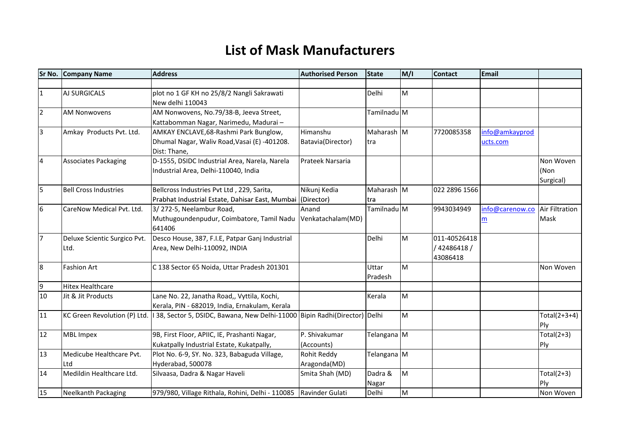## **List of Mask Manufacturers**

| Sr No.         | <b>Company Name</b>          | <b>Address</b>                                                            | <b>Authorised Person</b> | <b>State</b> | M/I      | <b>Contact</b> | <b>Email</b>    |                |
|----------------|------------------------------|---------------------------------------------------------------------------|--------------------------|--------------|----------|----------------|-----------------|----------------|
|                |                              |                                                                           |                          |              |          |                |                 |                |
| $\mathbf{1}$   | <b>AJ SURGICALS</b>          | plot no 1 GF KH no 25/8/2 Nangli Sakrawati                                |                          | Delhi        | Iм       |                |                 |                |
|                |                              | New delhi 110043                                                          |                          |              |          |                |                 |                |
| $\overline{2}$ | <b>AM Nonwovens</b>          | AM Nonwovens, No.79/38-B, Jeeva Street,                                   |                          | Tamilnadu M  |          |                |                 |                |
|                |                              | Kattabomman Nagar, Narimedu, Madurai-                                     |                          |              |          |                |                 |                |
| $\overline{3}$ | Amkay Products Pvt. Ltd.     | AMKAY ENCLAVE, 68-Rashmi Park Bunglow,                                    | Himanshu                 | Maharash M   |          | 7720085358     | info@amkayprod  |                |
|                |                              | Dhumal Nagar, Waliv Road, Vasai (E) -401208.                              | Batavia(Director)        | tra          |          |                | ucts.com        |                |
|                |                              | Dist: Thane,                                                              |                          |              |          |                |                 |                |
| $\overline{4}$ | <b>Associates Packaging</b>  | D-1555, DSIDC Industrial Area, Narela, Narela                             | Prateek Narsaria         |              |          |                |                 | Non Woven      |
|                |                              | Industrial Area, Delhi-110040, India                                      |                          |              |          |                |                 | (Non           |
|                |                              |                                                                           |                          |              |          |                |                 | Surgical)      |
| $\overline{5}$ | <b>Bell Cross Industries</b> | Bellcross Industries Pvt Ltd, 229, Sarita,                                | Nikunj Kedia             | Maharash M   |          | 022 2896 1566  |                 |                |
|                |                              | Prabhat Industrial Estate, Dahisar East, Mumbai (Director)                |                          | tra          |          |                |                 |                |
| 6              | CareNow Medical Pvt. Ltd.    | 3/272-5, Neelambur Road,                                                  | Anand                    | Tamilnadu M  |          | 9943034949     | info@carenow.co | Air Filtration |
|                |                              | Muthugoundenpudur, Coimbatore, Tamil Nadu Venkatachalam(MD)               |                          |              |          |                | m               | Mask           |
|                |                              | 641406                                                                    |                          |              |          |                |                 |                |
| 17             | Deluxe Scientic Surgico Pvt. | Desco House, 387, F.I.E, Patpar Ganj Industrial                           |                          | Delhi        | lм       | 011-40526418   |                 |                |
|                | Ltd.                         | Area, New Delhi-110092, INDIA                                             |                          |              |          | / 42486418 /   |                 |                |
|                |                              |                                                                           |                          |              |          | 43086418       |                 |                |
| 8              | <b>Fashion Art</b>           | C 138 Sector 65 Noida, Uttar Pradesh 201301                               |                          | Uttar        | lм       |                |                 | Non Woven      |
|                |                              |                                                                           |                          | Pradesh      |          |                |                 |                |
| $\overline{9}$ | <b>Hitex Healthcare</b>      |                                                                           |                          |              |          |                |                 |                |
| 10             | Jit & Jit Products           | Lane No. 22, Janatha Road,, Vyttila, Kochi,                               |                          | Kerala       | lм       |                |                 |                |
|                |                              | Kerala, PIN - 682019, India, Ernakulam, Kerala                            |                          |              |          |                |                 |                |
| 11             | KC Green Revolution (P) Ltd. | 138, Sector 5, DSIDC, Bawana, New Delhi-11000 Bipin Radhi(Director) Delhi |                          |              | <b>M</b> |                |                 | $Total(2+3+4)$ |
|                |                              |                                                                           |                          |              |          |                |                 | Ply            |
| 12             | <b>MBL Impex</b>             | 9B, First Floor, APIIC, IE, Prashanti Nagar,                              | P. Shivakumar            | Telangana M  |          |                |                 | Total $(2+3)$  |
|                |                              | Kukatpally Industrial Estate, Kukatpally,                                 | (Accounts)               |              |          |                |                 | Ply            |
| 13             | Medicube Healthcare Pvt.     | Plot No. 6-9, SY. No. 323, Babaguda Village,                              | Rohit Reddy              | Telangana M  |          |                |                 |                |
|                | Ltd                          | Hyderabad, 500078                                                         | Aragonda(MD)             |              |          |                |                 |                |
| 14             | Medildin Healthcare Ltd.     | Silvaasa, Dadra & Nagar Haveli                                            | Smita Shah (MD)          | Dadra &      | M        |                |                 | Total $(2+3)$  |
|                |                              |                                                                           |                          | Nagar        |          |                |                 | Ply            |
| 15             | Neelkanth Packaging          | 979/980, Village Rithala, Rohini, Delhi - 110085 Ravinder Gulati          |                          | Delhi        | Iм       |                |                 | Non Woven      |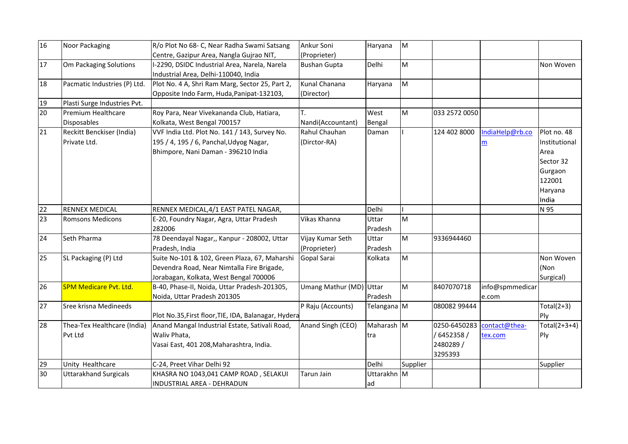| 16 | Noor Packaging                            | R/o Plot No 68- C, Near Radha Swami Satsang                                                                                           | Ankur Soni                          | Haryana           | M        |                                                  |                          |                                                                                            |
|----|-------------------------------------------|---------------------------------------------------------------------------------------------------------------------------------------|-------------------------------------|-------------------|----------|--------------------------------------------------|--------------------------|--------------------------------------------------------------------------------------------|
| 17 | Om Packaging Solutions                    | Centre, Gazipur Area, Nangla Gujrao NIT,<br>I-2290, DSIDC Industrial Area, Narela, Narela<br>Industrial Area, Delhi-110040, India     | (Proprieter)<br><b>Bushan Gupta</b> | Delhi             | Iм       |                                                  |                          | Non Woven                                                                                  |
| 18 | Pacmatic Industries (P) Ltd.              | Plot No. 4 A, Shri Ram Marg, Sector 25, Part 2,<br>Opposite Indo Farm, Huda, Panipat-132103,                                          | Kunal Chanana<br>(Director)         | Haryana           | Iм       |                                                  |                          |                                                                                            |
| 19 | Plasti Surge Industries Pvt.              |                                                                                                                                       |                                     |                   |          |                                                  |                          |                                                                                            |
| 20 | Premium Healthcare<br><b>Disposables</b>  | Roy Para, Near Vivekananda Club, Hatiara,<br>Kolkata, West Bengal 700157                                                              | Τ.<br>Nandi(Accountant)             | West<br>Bengal    | M        | 033 2572 0050                                    |                          |                                                                                            |
| 21 | Reckitt Benckiser (India)<br>Private Ltd. | VVF India Ltd. Plot No. 141 / 143, Survey No.<br>195 / 4, 195 / 6, Panchal, Udyog Nagar,<br>Bhimpore, Nani Daman - 396210 India       | Rahul Chauhan<br>(Dirctor-RA)       | Daman             |          | 124 402 8000                                     | IndiaHelp@rb.co<br>m     | Plot no. 48<br>Institutional<br>Area<br>Sector 32<br>Gurgaon<br>122001<br>Haryana<br>India |
| 22 | <b>RENNEX MEDICAL</b>                     | RENNEX MEDICAL, 4/1 EAST PATEL NAGAR,                                                                                                 |                                     | Delhi             |          |                                                  |                          | N 95                                                                                       |
| 23 | <b>Romsons Medicons</b>                   | E-20, Foundry Nagar, Agra, Uttar Pradesh<br>282006                                                                                    | Vikas Khanna                        | Uttar<br>Pradesh  | lм       |                                                  |                          |                                                                                            |
| 24 | Seth Pharma                               | 78 Deendayal Nagar,, Kanpur - 208002, Uttar<br>Pradesh, India                                                                         | Vijay Kumar Seth<br>(Proprieter)    | Uttar<br>Pradesh  | M        | 9336944460                                       |                          |                                                                                            |
| 25 | SL Packaging (P) Ltd                      | Suite No-101 & 102, Green Plaza, 67, Maharshi<br>Devendra Road, Near Nimtalla Fire Brigade,<br>Jorabagan, Kolkata, West Bengal 700006 | Gopal Sarai                         | Kolkata           | İм       |                                                  |                          | Non Woven<br>(Non<br>Surgical)                                                             |
| 26 | <b>SPM Medicare Pvt. Ltd.</b>             | B-40, Phase-II, Noida, Uttar Pradesh-201305,<br>Noida, Uttar Pradesh 201305                                                           | Umang Mathur (MD) Uttar             | Pradesh           | M        | 8407070718                                       | info@spmmedicar<br>e.com |                                                                                            |
| 27 | Sree krisna Medineeds                     | Plot No.35, First floor, TIE, IDA, Balanagar, Hydera                                                                                  | P Raju (Accounts)                   | Telangana M       |          | 080082 99444                                     |                          | $Total(2+3)$<br>Ply                                                                        |
| 28 | Thea-Tex Healthcare (India)<br>Pvt Ltd    | Anand Mangal Industrial Estate, Sativali Road,<br>Waliv Phata,<br>Vasai East, 401 208, Maharashtra, India.                            | Anand Singh (CEO)                   | Maharash M<br>tra |          | 0250-6450283<br>6452358/<br>2480289 /<br>3295393 | contact@thea-<br>tex.com | Total $(2+3+4)$<br>Ply                                                                     |
| 29 | Unity Healthcare                          | C-24, Preet Vihar Delhi 92                                                                                                            |                                     | Delhi             | Supplier |                                                  |                          | Supplier                                                                                   |
| 30 | <b>Uttarakhand Surgicals</b>              | KHASRA NO 1043,041 CAMP ROAD, SELAKUI<br>INDUSTRIAL AREA - DEHRADUN                                                                   | <b>Tarun Jain</b>                   | Uttarakhn M<br>ad |          |                                                  |                          |                                                                                            |